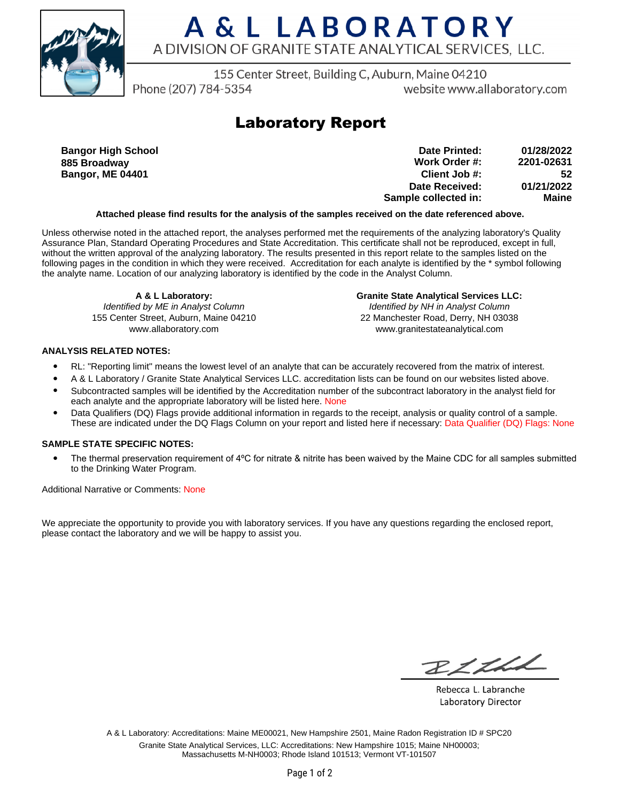

# A & L LABORATORY A DIVISION OF GRANITE STATE ANALYTICAL SERVICES, LLC.

155 Center Street, Building C, Auburn, Maine 04210

Phone (207) 784-5354

website www.allaboratory.com

### **Laboratory Report**

**Bangor High School 885 Broadway Bangor, ME 04401**

**Work Order #: Client Job #: Date Received: Sample collected in: 2201-02631 52 01/21/2022 Maine Date Printed: 01/28/2022**

### **Attached please find results for the analysis of the samples received on the date referenced above.**

Unless otherwise noted in the attached report, the analyses performed met the requirements of the analyzing laboratory's Quality Assurance Plan, Standard Operating Procedures and State Accreditation. This certificate shall not be reproduced, except in full, without the written approval of the analyzing laboratory. The results presented in this report relate to the samples listed on the following pages in the condition in which they were received. Accreditation for each analyte is identified by the \* symbol following the analyte name. Location of our analyzing laboratory is identified by the code in the Analyst Column.

**A & L Laboratory:** Identified by ME in Analyst Column 155 Center Street, Auburn, Maine 04210 www.allaboratory.com

**Granite State Analytical Services LLC:** Identified by NH in Analyst Column 22 Manchester Road, Derry, NH 03038 www.granitestateanalytical.com

### **ANALYSIS RELATED NOTES:**

- RL: "Reporting limit" means the lowest level of an analyte that can be accurately recovered from the matrix of interest.
- A & L Laboratory / Granite State Analytical Services LLC. accreditation lists can be found on our websites listed above.
- Subcontracted samples will be identified by the Accreditation number of the subcontract laboratory in the analyst field for each analyte and the appropriate laboratory will be listed here. None
- Data Qualifiers (DQ) Flags provide additional information in regards to the receipt, analysis or quality control of a sample. These are indicated under the DQ Flags Column on your report and listed here if necessary: Data Qualifier (DQ) Flags: None

#### **SAMPLE STATE SPECIFIC NOTES:**

• The thermal preservation requirement of 4°C for nitrate & nitrite has been waived by the Maine CDC for all samples submitted to the Drinking Water Program.

Additional Narrative or Comments: None

We appreciate the opportunity to provide you with laboratory services. If you have any questions regarding the enclosed report, please contact the laboratory and we will be happy to assist you.

RICHL

Rebecca L. Labranche Laboratory Director

A & L Laboratory: Accreditations: Maine ME00021, New Hampshire 2501, Maine Radon Registration ID # SPC20 Granite State Analytical Services, LLC: Accreditations: New Hampshire 1015; Maine NH00003; Massachusetts M-NH0003; Rhode Island 101513; Vermont VT-101507